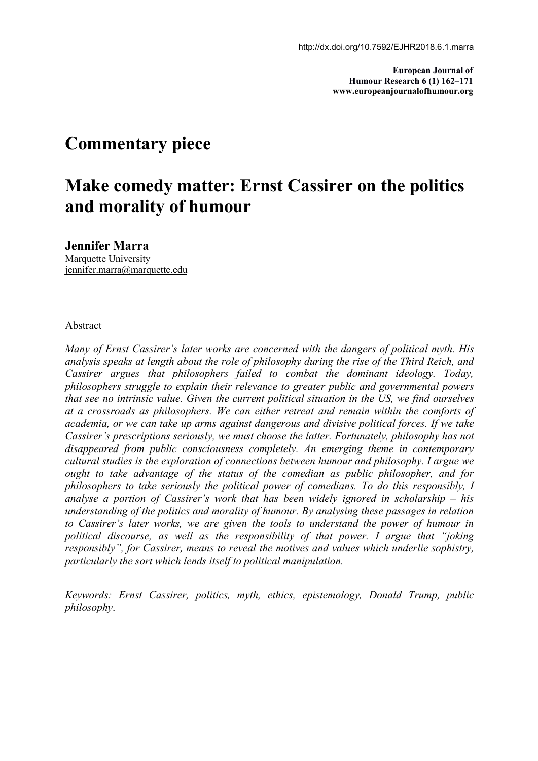**European Journal of Humour Research 6 (1) 162–171 www.europeanjournalofhumour.org**

# **Commentary piece**

# **Make comedy matter: Ernst Cassirer on the politics and morality of humour**

#### **Jennifer Marra**

Marquette University [jennifer.marra@marquette.edu](mailto:jennifer.marra@marquette.edu)

#### Abstract

*Many of Ernst Cassirer's later works are concerned with the dangers of political myth. His analysis speaks at length about the role of philosophy during the rise of the Third Reich, and Cassirer argues that philosophers failed to combat the dominant ideology. Today, philosophers struggle to explain their relevance to greater public and governmental powers that see no intrinsic value. Given the current political situation in the US, we find ourselves at a crossroads as philosophers. We can either retreat and remain within the comforts of academia, or we can take up arms against dangerous and divisive political forces. If we take Cassirer's prescriptions seriously, we must choose the latter. Fortunately, philosophy has not disappeared from public consciousness completely. An emerging theme in contemporary cultural studies is the exploration of connections between humour and philosophy. I argue we ought to take advantage of the status of the comedian as public philosopher, and for philosophers to take seriously the political power of comedians. To do this responsibly, I analyse a portion of Cassirer's work that has been widely ignored in scholarship – his understanding of the politics and morality of humour. By analysing these passages in relation to Cassirer's later works, we are given the tools to understand the power of humour in political discourse, as well as the responsibility of that power. I argue that "joking responsibly", for Cassirer, means to reveal the motives and values which underlie sophistry, particularly the sort which lends itself to political manipulation.*

*Keywords: Ernst Cassirer, politics, myth, ethics, epistemology, Donald Trump, public philosophy*.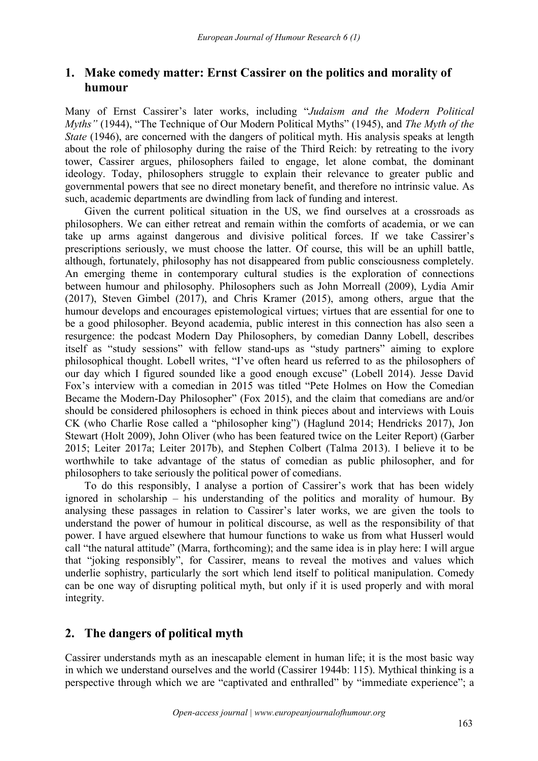# **1. Make comedy matter: Ernst Cassirer on the politics and morality of humour**

Many of Ernst Cassirer's later works, including "Judaism and the Modern Political *Myths"* (1944), "The Technique of Our Modern Political Myths" (1945), and *The Myth of the State* (1946), are concerned with the dangers of political myth. His analysis speaks at length about the role of philosophy during the raise of the Third Reich: by retreating to the ivory tower, Cassirer argues, philosophers failed to engage, let alone combat, the dominant ideology. Today, philosophers struggle to explain their relevance to greater public and governmental powers that see no direct monetary benefit, and therefore no intrinsic value. As such, academic departments are dwindling from lack of funding and interest.

Given the current political situation in the US, we find ourselves at a crossroads as philosophers. We can either retreat and remain within the comforts of academia, or we can take up arms against dangerous and divisive political forces. If we take Cassirer's prescriptions seriously, we must choose the latter. Of course, this will be an uphill battle, although, fortunately, philosophy has not disappeared from public consciousness completely. An emerging theme in contemporary cultural studies is the exploration of connections between humour and philosophy. Philosophers such as John Morreall (2009), Lydia Amir (2017), Steven Gimbel (2017), and Chris Kramer (2015), among others, argue that the humour develops and encourages epistemological virtues; virtues that are essential for one to be a good philosopher. Beyond academia, public interest in this connection has also seen a resurgence: the podcast Modern Day Philosophers, by comedian Danny Lobell, describes itself as "study sessions" with fellow stand-ups as "study partners" aiming to explore philosophical thought. Lobell writes, "I've often heard us referred to as the philosophers of our day which I figured sounded like a good enough excuse" (Lobell 2014). Jesse David Fox's interview with a comedian in 2015 was titled "Pete Holmes on How the Comedian Became the Modern-Day Philosopher" (Fox 2015), and the claim that comedians are and/or should be considered philosophers is echoed in think pieces about and interviews with Louis CK (who Charlie Rose called a "philosopher king") (Haglund 2014; Hendricks 2017), Jon Stewart (Holt 2009), John Oliver (who has been featured twice on the Leiter Report) (Garber 2015; Leiter 2017a; Leiter 2017b), and Stephen Colbert (Talma 2013). I believe it to be worthwhile to take advantage of the status of comedian as public philosopher, and for philosophers to take seriously the political power of comedians.

To do this responsibly, I analyse a portion of Cassirer's work that has been widely ignored in scholarship – his understanding of the politics and morality of humour. By analysing these passages in relation to Cassirer's later works, we are given the tools to understand the power of humour in political discourse, as well as the responsibility of that power. I have argued elsewhere that humour functions to wake us from what Husserl would call "the natural attitude" (Marra, forthcoming); and the same idea is in play here:I will argue that "joking responsibly", for Cassirer, means to reveal the motives and values which underlie sophistry, particularly the sort which lend itself to political manipulation. Comedy can be one way of disrupting political myth, but only if it is used properly and with moral integrity.

# **2.** The dangers of political myth

Cassirer understands myth as an inescapable element in human life; it is the most basic way in which we understand ourselves and the world (Cassirer 1944b: 115). Mythical thinking is a perspective through which we are "captivated and enthralled" by "immediate experience"; a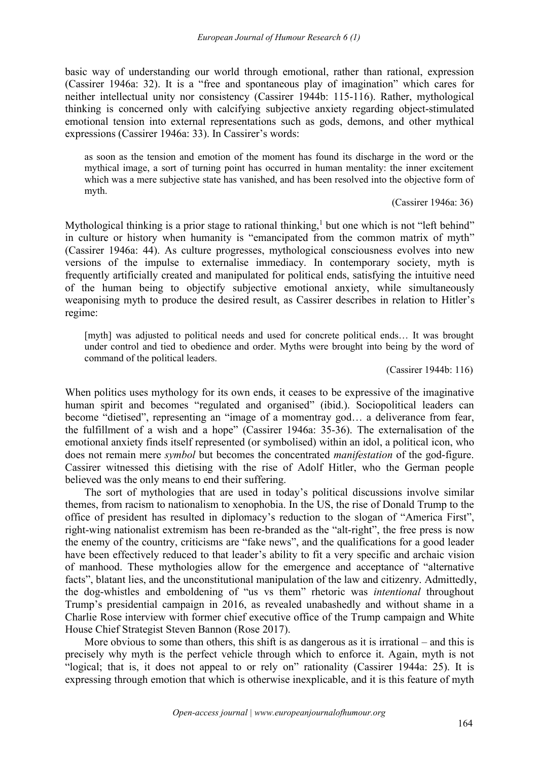basic way of understanding our world through emotional, rather than rational, expression (Cassirer 1946a: 32). It is a "free and spontaneous play of imagination" which cares for neither intellectual unity nor consistency (Cassirer 1944b: 115-116). Rather, mythological thinking is concerned only with calcifying subjective anxiety regarding object-stimulated emotional tension into external representations such as gods, demons, and other mythical expressions (Cassirer 1946a: 33). In Cassirer's words:

as soon as the tension and emotion of the moment has found its discharge in the word or the mythical image, a sort of turning point has occurred in human mentality: the inner excitement which was a mere subjective state has vanished, and has been resolved into the objective form of myth.

#### (Cassirer 1946a: 36)

Mythological thinking is a prior stage to rational thinking,<sup>[1](#page-7-0)</sup> but one which is not "left behind" in culture or history when humanity is "emancipated from the common matrix of myth" (Cassirer 1946a: 44). As culture progresses, mythological consciousness evolves into new versions of the impulse to externalise immediacy. In contemporary society, myth is frequently artificially created and manipulated for political ends, satisfying the intuitive need of the human being to objectify subjective emotional anxiety, while simultaneously weaponising myth to produce the desired result, as Cassirer describes in relation to Hitler's regime:

[myth] was adjusted to political needs and used for concrete political ends… It was brought under control and tied to obedience and order. Myths were brought into being by the word of command of the political leaders.

(Cassirer 1944b: 116)

When politics uses mythology for its own ends, it ceases to be expressive of the imaginative human spirit and becomes "regulated and organised" (ibid.). Sociopolitical leaders can become "dietised", representing an "image of a momentray god… a deliverance from fear, the fulfillment of a wish and a hope" (Cassirer 1946a: 35-36). The externalisation of the emotional anxiety finds itself represented (or symbolised) within an idol, a political icon, who does not remain mere *symbol*but becomes the concentrated *manifestation* of the god-figure. Cassirer witnessed this dietising with the rise of Adolf Hitler, who the German people believed was the only means to end their suffering.

The sort of mythologies that are used in today's political discussions involve similar themes, from racism to nationalism to xenophobia. In the US, the rise of Donald Trump to the office of president has resulted in diplomacy's reduction to the slogan of "America First", right-wing nationalist extremism has been re-branded as the "alt-right", the free press is now the enemy of the country, criticisms are "fake news", and the qualifications for a good leader have been effectively reduced to that leader's ability to fit a very specific and archaic vision of manhood. These mythologies allow for the emergence and acceptance of "alternative facts", blatant lies, and the unconstitutional manipulation of the law and citizenry. Admittedly, the dog-whistles and emboldening of "us vs them" rhetoric was *intentional* throughout Trump's presidential campaign in 2016, as revealed unabashedly and without shame in a Charlie Rose interview with former chief executive office of the Trump campaign and White House Chief Strategist Steven Bannon (Rose 2017).

More obvious to some than others, this shift is as dangerous as it is irrational – and this is precisely why myth is the perfect vehicle through which to enforce it. Again, myth is not "logical; that is, it does not appeal to or rely on" rationality (Cassirer 1944a: 25). It is expressing through emotion that which is otherwise inexplicable, and it is this feature of myth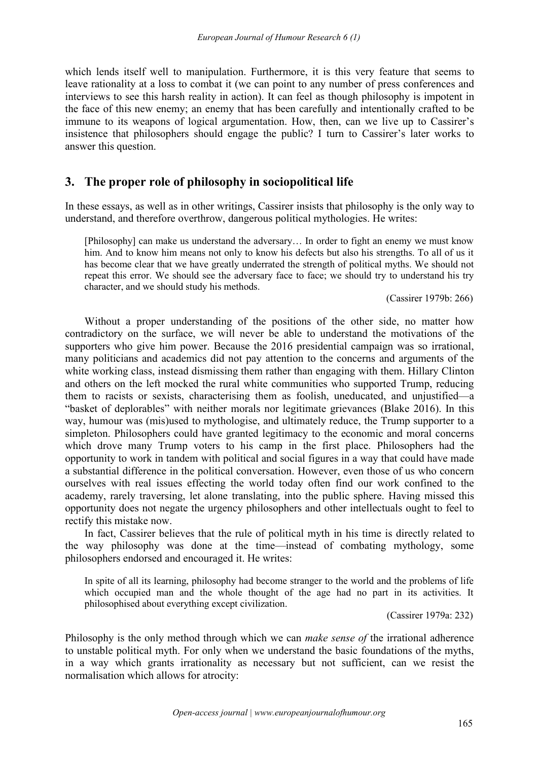which lends itself well to manipulation. Furthermore, it is this very feature that seems to leave rationality at a loss to combat it (we can point to any number of press conferences and interviews to see this harsh reality in action). It can feel as though philosophy is impotent in the face of this new enemy; an enemy that has been carefully and intentionally crafted to be immune to its weapons of logical argumentation. How, then, can we live up to Cassirer's insistence that philosophers should engage the public? I turn to Cassirer's later works to answer this question.

## **3. The proper role of philosophy in sociopolitical life**

In these essays, as well as in other writings, Cassirer insists that philosophy is the only way to understand, and therefore overthrow, dangerous political mythologies. He writes:

[Philosophy] can make us understand the adversary... In order to fight an enemy we must know him. And to know him means not only to know his defects but also his strengths. To all of us it has become clear that we have greatly underrated the strength of political myths. We should not repeat this error. We should see the adversary face to face; we should try to understand his try character, and we should study his methods.

(Cassirer 1979b: 266)

Without a proper understanding of the positions of the other side, no matter how contradictory on the surface, we will never be able to understand the motivations of the supporters who give him power. Because the 2016 presidential campaign was so irrational, many politicians and academics did not pay attention to the concerns and arguments of the white working class, instead dismissing them rather than engaging with them. Hillary Clinton and others on the left mocked the rural white communities who supported Trump, reducing them to racists or sexists, characterising them as foolish, uneducated,and unjustified—a "basket of deplorables" with neither morals nor legitimate grievances (Blake 2016). In this way, humour was (mis)used to mythologise, and ultimately reduce, the Trump supporter to a simpleton. Philosophers could have granted legitimacy to the economic and moral concerns which drove many Trump voters to his camp in the first place. Philosophers had the opportunity to work in tandem with political and social figures in a way that could have made a substantial difference in the political conversation. However, even those of us who concern ourselves with real issues effecting the world today often find our work confined to the academy, rarely traversing, let alone translating, into the public sphere. Having missed this opportunity doesnot negate the urgency philosophers and other intellectuals ought to feel to rectify this mistake now.

In fact, Cassirer believes that the rule of political myth in his time is directly related to the way philosophy was done at the time—instead of combating mythology, some philosophers endorsed and encouraged it. He writes:

In spite of all its learning, philosophy had become stranger to the world and the problems of life which occupied man and the whole thought of the age had no part in its activities. It philosophised about everything except civilization.

(Cassirer 1979a: 232)

Philosophy is the only method through which we can *make sense of* the irrational adherence to unstable political myth. For only when we understand the basic foundations of the myths, in away which grants irrationality as necessary but not sufficient, can we resist the normalisation which allows for atrocity: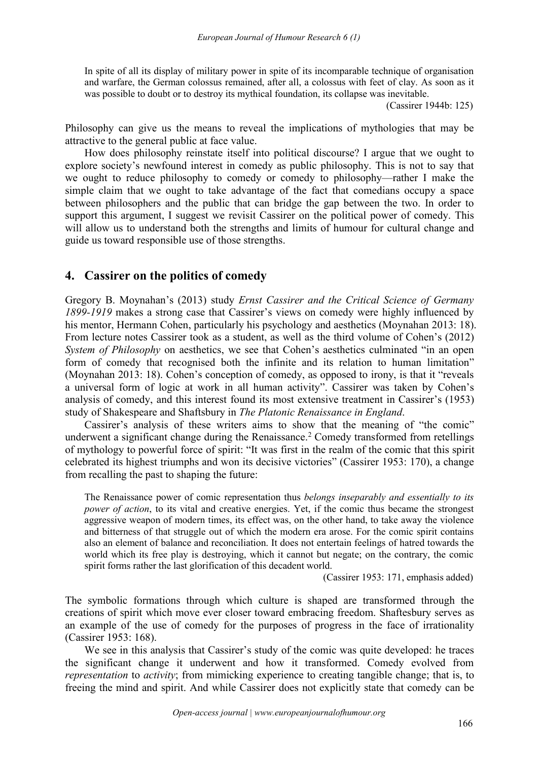In spite of all its display of military power in spite of its incomparable technique of organisation and warfare, the German colossus remained, after all, a colossus with feet of clay. As soon as it was possible to doubt or to destroy its mythical foundation, its collapse was inevitable.

(Cassirer 1944b: 125)

Philosophy can give us the means to reveal the implications of mythologies that may be attractive to the general public at face value.

How does philosophy reinstate itself into political discourse? I argue that we ought to explore society's newfound interest in comedy as public philosophy. This is not to say that we ought to reduce philosophy to comedy or comedy to philosophy—rather I make the simple claim that we ought to take advantage of the fact that comedians occupy a space between philosophers and the public that can bridge the gap between the two. In order to support this argument, I suggest we revisit Cassirer on the political power of comedy. This will allow us to understand both the strengths and limits of humour for cultural change and guide us toward responsible use of those strengths.

### **4. Cassirer** on the politics of comedy

Gregory B. Moynahan's (2013) study *Ernst Cassirer and the Critical Science of Germany 1899-1919* makes a strong case that Cassirer's views on comedy were highly influenced by his mentor, Hermann Cohen, particularly his psychology and aesthetics (Moynahan 2013: 18). From lecture notes Cassirer took as a student, as well as the third volume of Cohen's (2012) *System of Philosophy* on aesthetics, we see that Cohen's aesthetics culminated "in an open form of comedy that recognised both the infinite and its relation to human limitation" (Moynahan 2013: 18). Cohen's conception of comedy, as opposed to irony, is that it "reveals" a universal form of logic at work in all human activity". Cassirer was taken by Cohen's analysis of comedy, and this interest found its most extensive treatment in Cassirer's (1953) study of Shakespeare and Shaftsbury in *The Platonic Renaissance in England*.

Cassirer's analysis of these writers aims to show that the meaning of "the comic" underwent a significant change during the Renaissance.<sup>[2](#page-7-1)</sup> Comedy transformed from retellings of mythology to powerful force of spirit: "It was first in the realm of the comic that this spirit celebrated its highest triumphs and won its decisive victories" (Cassirer 1953: 170), a change from recalling the past to shaping the future:

The Renaissance power of comic representation thus *belongs inseparably and essentially to its power of action*, to its vital and creative energies. Yet, if the comic thus became the strongest aggressive weapon of modern times, its effect was, on the other hand, to take away the violence and bitterness of that struggle out of which the modern era arose. For the comic spirit contains also an element of balance and reconciliation. It does not entertain feelings ofhatred towards the world which its free play is destroying, which it cannot but negate; on the contrary, the comic spirit forms rather the last glorification of this decadent world.

(Cassirer 1953: 171, emphasis added)

The symbolic formations through which culture is shaped are transformed through the creations of spirit which move ever closer toward embracing freedom. Shaftesbury serves as an example of the use of comedy for the purposes of progress in the face of irrationality (Cassirer 1953: 168).

We see in this analysis that Cassirer's study of the comic was quite developed: he traces the significant change it underwent and how it transformed. Comedy evolved from *representation* to *activity*; from mimicking experience to creating tangible change; that is, to freeing the mind and spirit. And while Cassirer does not explicitly state that comedy can be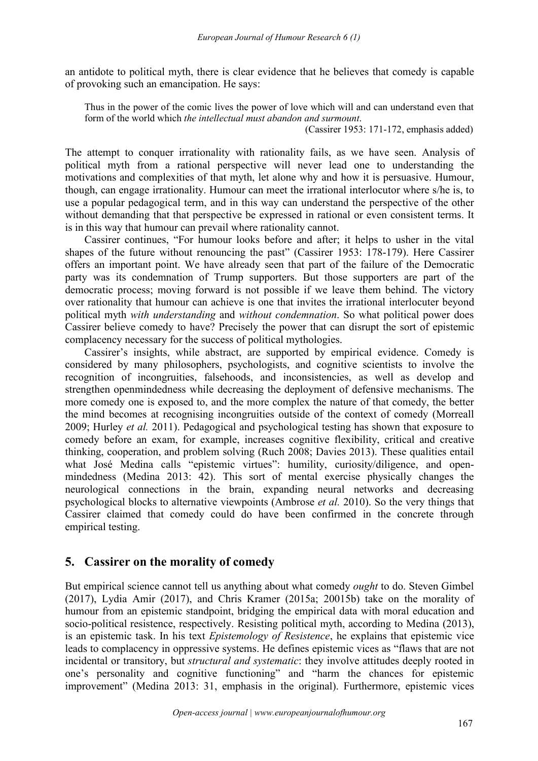an antidote to political myth, there is clear evidence that he believes that comedy is capable of provoking such an emancipation. He says:

Thus in the power of the comic lives the power of love which will and can understand even that form of the world which *the intellectual must abandon and surmount*.

(Cassirer 1953: 171-172, emphasis added)

The attempt to conquer irrationality with rationality fails, as we have seen. Analysis of political myth from a rational perspective will never lead one to understanding the motivations and complexities of that myth, let alone why and how it is persuasive. Humour, though, can engage irrationality. Humour can meet the irrational interlocutor where s/he is, to use a popular pedagogical term, and in this way can understand the perspective of the other without demanding that that perspective be expressed in rational or even consistent terms. It is in this way that humour can prevail where rationality cannot.

Cassirer continues, "For humour looks before and after; it helps to usher in the vital shapes of the future without renouncing the past" (Cassirer 1953: 178-179). Here Cassirer offers an important point. We have already seen that part of the failure of the Democratic party was its condemnation of Trump supporters. But those supporters are part of the democratic process; moving forward is not possible if we leave them behind. The victory over rationality that humour can achieve is one that invites the irrational interlocuter beyond political myth *with understanding* and *without condemnation*. So what political power does Cassirer believe comedy to have? Precisely the power that can disrupt the sort of epistemic complacency necessary for the success of political mythologies.

Cassirer's insights, while abstract, are supported by empirical evidence. Comedy is considered by many philosophers, psychologists, and cognitive scientists to involve the recognition of incongruities, falsehoods, and inconsistencies, as well as develop and strengthen openmindedness while decreasing the deployment of defensive mechanisms. The more comedy one is exposed to, and the more complex the nature of that comedy, the better the mind becomes at recognising incongruities outside of the context of comedy (Morreall 2009; Hurley *et al.* 2011). Pedagogical and psychological testing has shown that exposure to comedy before an exam, for example, increases cognitive flexibility, critical and creative thinking, cooperation, and problem solving (Ruch 2008; Davies 2013). These qualities entail what José Medina calls "epistemic virtues": humility, curiosity/diligence, and open mindedness (Medina 2013: 42). This sort of mental exercise physically changes the neurological connections in the brain, expanding neural networks and decreasing psychological blocks to alternative viewpoints (Ambrose *et al.* 2010). So the very things that Cassirer claimed that comedy could do have been confirmed in the concrete through empirical testing.

## **5. Cassirer on the morality of comedy**

But empirical science cannot tell us anything about what comedy *ought* to do. Steven Gimbel (2017), Lydia Amir (2017), and Chris Kramer (2015a; 20015b) take on the morality of humour from an epistemic standpoint, bridging the empirical data with moral education and socio-political resistence, respectively. Resisting political myth, according to Medina (2013), is an epistemic task. In his text *Epistemology of Resistence*, he explains that epistemic vice leads to complacency in oppressive systems. He defines epistemic vices as "flaws that are not incidental or transitory, but *structural and systematic*: they involve attitudes deeply rooted in one's personality and cognitive functioning" and "harm the chances for epistemic improvement" (Medina 2013: 31, emphasis in the original). Furthermore, epistemic vices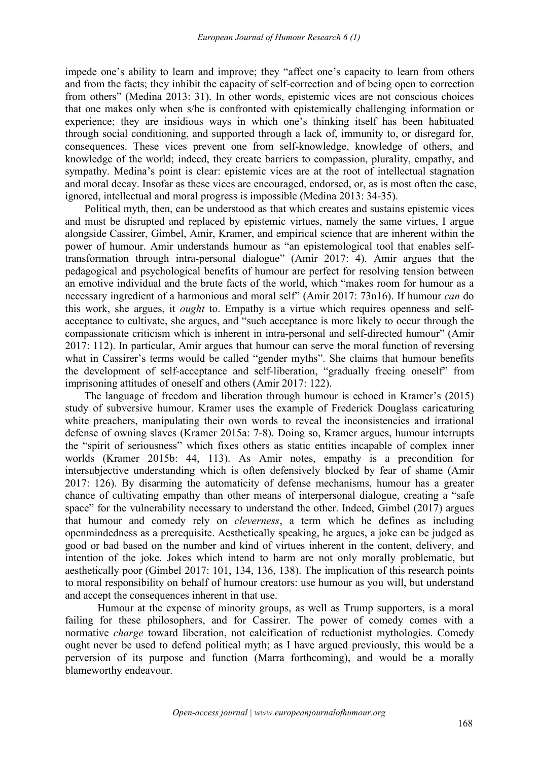impede one's ability to learn and improve; they "affect one's capacity to learn from others and from the facts; they inhibit the capacity of self-correction and of being open to correction from others" (Medina 2013: 31). In other words, epistemic vices are not conscious choices that one makes only when s/he is confronted with epistemically challenging information or experience; they are insidious ways in which one's thinking itself has been habituated through social conditioning, and supported through a lack of, immunity to, or disregard for, consequences. These vices prevent one from self-knowledge, knowledge of others, and knowledge of the world; indeed, they create barriers to compassion, plurality, empathy, and sympathy. Medina's point is clear: epistemic vices are at the root of intellectual stagnation and moral decay. Insofar as these vices are encouraged, endorsed, or, as is most often the case, ignored, intellectual and moral progress is impossible (Medina 2013: 34-35).

Political myth, then, can be understood as that which creates and sustains epistemic vices and must be disrupted and replaced by epistemic virtues, namely the same virtues, I argue alongside Cassirer, Gimbel, Amir, Kramer, and empirical science that are inherent within the power of humour. Amir understands humour as "an epistemological tool that enables selftransformation through intra-personal dialogue" (Amir 2017: 4). Amir argues that the pedagogical and psychological benefits of humour are perfect for resolving tension between an emotive individual and the brute facts of the world, which "makes room for humour as a necessary ingredient of a harmonious and moral self" (Amir 2017: 73n16). If humour *can* do this work, she argues, it *ought* to. Empathy is a virtue which requires openness and self acceptance to cultivate, she argues, and "such acceptance is more likely to occur through the compassionate criticism which is inherent in intra-personal and self-directed humour" (Amir 2017: 112). In particular, Amir argues that humour can serve the moral function of reversing what in Cassirer's terms would be called "gender myths". She claims that humour benefits the development of self-acceptance and self-liberation, "gradually freeing oneself" from imprisoning attitudes of oneself and others (Amir 2017: 122).

The language of freedom and liberation through humour is echoed in Kramer's (2015) study of subversive humour. Kramer uses the example of Frederick Douglass caricaturing white preachers, manipulating their own words to reveal the inconsistencies and irrational defense of owning slaves (Kramer 2015a: 7-8). Doing so, Kramer argues, humour interrupts the "spirit of seriousness" which fixes others as static entities incapable of complex inner worlds (Kramer 2015b: 44, 113). As Amir notes, empathy is a precondition for intersubjective understanding which is often defensively blocked by fear of shame (Amir 2017: 126). By disarming the automaticity of defense mechanisms, humour has a greater chance of cultivating empathy than other means of interpersonal dialogue, creating a "safe space" for the vulnerability necessary to understand the other. Indeed, Gimbel (2017) argues that humour and comedy rely on *cleverness*, a term which he defines as including openmindedness as a prerequisite. Aesthetically speaking, he argues, a joke can be judged as good or bad based on the number and kind of virtues inherent in the content, delivery, and intention of the joke. Jokes which intend to harm are not only morally problematic, but aesthetically poor (Gimbel 2017: 101, 134, 136, 138). The implication of this research points to moral responsibility on behalf of humour creators: use humour as you will, but understand and accept the consequences inherent in that use.

Humour at the expense of minority groups, as well as Trump supporters, is a moral failing for these philosophers, and for Cassirer. The power of comedy comes with a normative *charge* toward liberation, not calcification of reductionist mythologies. Comedy ought never be used to defend political myth; as I have argued previously, this would be a perversion of its purpose and function (Marra forthcoming), and would be a morally blameworthy endeavour.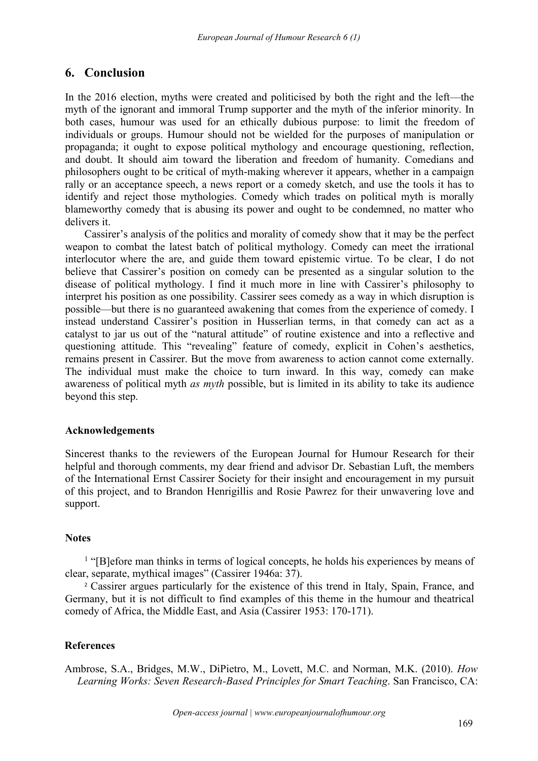# **6. Conclusion**

In the 2016 election, myths were created and politicised by both the right and the left—the myth of the ignorant and immoral Trump supporter and the myth of the inferior minority. In both cases, humour was used for an ethically dubious purpose: to limit the freedom of individuals or groups. Humour should not be wielded for the purposes of manipulation or propaganda; it ought to expose political mythology and encourage questioning, reflection, and doubt. It should aim toward the liberation and freedom of humanity. Comedians and philosophers ought to be critical of myth-making wherever it appears, whether in a campaign rally or an acceptance speech, a news report or a comedy sketch, and use the tools it has to identify and reject those mythologies. Comedy which trades on political myth is morally blameworthy comedy that is abusing its power and ought to be condemned, no matter who delivers it.

Cassirer's analysis of the politics and morality of comedy show that it may be the perfect weapon to combat the latest batch of political mythology. Comedy can meet the irrational interlocutor where the are, and guide them toward epistemic virtue. To be clear, I do not believe that Cassirer's position on comedy can be presented as a singular solution to the disease of political mythology. I find it much more in line with Cassirer's philosophy to interpret his position as one possibility. Cassirer sees comedy as a way in which disruption is possible—but there is no guaranteed awakening that comes from the experience of comedy. I instead understand Cassirer's position in Husserlian terms, in that comedy can act as a catalyst to jar us out of the "natural attitude" of routine existence and into a reflective and questioning attitude. This "revealing" feature of comedy, explicit in Cohen's aesthetics, remains present in Cassirer. But the move from awareness to action cannot come externally. The individual must make the choice to turn inward. In this way, comedy can make awareness of political myth *as myth* possible, but is limited in its ability to take its audience beyond this step.

#### **Acknowledgements**

Sincerest thanks to the reviewers of the European Journal for Humour Research for their helpful and thorough comments, my dear friend and advisor Dr. Sebastian Luft, the members of the International Ernst Cassirer Society for their insight and encouragement in my pursuit of this project, and to Brandon Henrigillis and Rosie Pawrez for their unwavering love and support.

### **Notes**

<span id="page-7-0"></span> $<sup>1</sup>$  "[B]efore man thinks in terms of logical concepts, he holds his experiences by means of</sup> clear, separate, mythical images" (Cassirer 1946a: 37).

<span id="page-7-1"></span><sup>2</sup> Cassirer argues particularly for the existence of this trend in Italy, Spain, France, and Germany, but it is not difficult to find examples of this theme in the humour and theatrical comedy of Africa, the Middle East, and Asia (Cassirer 1953: 170-171).

### **References**

Ambrose, S.A., Bridges, M.W., DiPietro, M., Lovett, M.C. and Norman, M.K. (2010). *How Learning Works: Seven Research-Based Principles for Smart Teaching*. San Francisco, CA: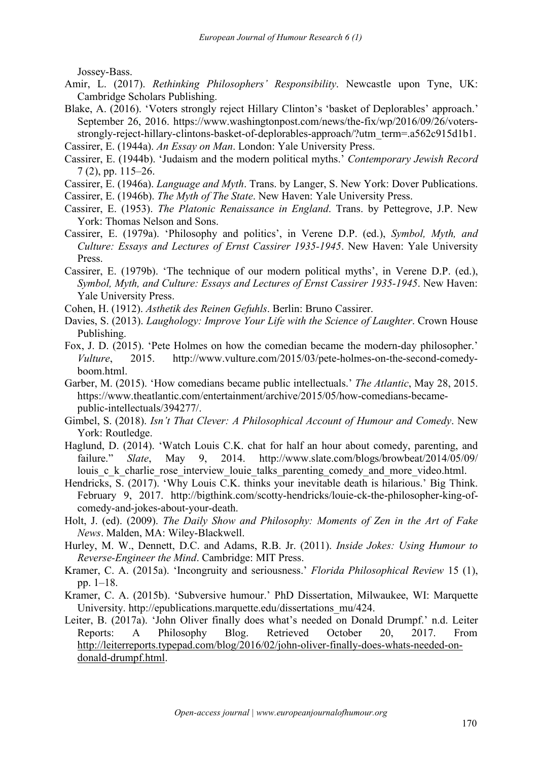Jossey-Bass.

- Amir, L. (2017). *Rethinking Philosophers' Responsibility*. Newcastle upon Tyne, UK: Cambridge Scholars Publishing.
- Blake, A. (2016). 'Voters strongly reject Hillary Clinton's 'basket of Deplorables' approach.' September 26,2016. https://www.washingtonpost.com/news/the-fix/wp/2016/09/26/voters strongly-reject-hillary-clintons-basket-of-deplorables-approach/?utm\_term=.a562c915d1b1.
- Cassirer, E. (1944a). *An Essay on Man*. London: Yale University Press.
- Cassirer, E. (1944b). 'Judaism and the modern political myths.' *Contemporary Jewish Record* 7 (2), pp. 115–26.
- Cassirer, E. (1946a). *Language and Myth*. Trans. by Langer, S. New York: Dover Publications.
- Cassirer, E. (1946b). *The Myth of The State*. New Haven: Yale University Press.
- Cassirer, E. (1953). *The Platonic Renaissance in England*. Trans. by Pettegrove, J.P. New York: Thomas Nelson and Sons.
- Cassirer, E. (1979a). 'Philosophy and politics', in Verene D.P. (ed.), *Symbol, Myth, and Culture: Essays and Lectures of Ernst Cassirer 1935-1945*. New Haven: Yale University Press.
- Cassirer, E. (1979b). 'The technique of our modern political myths', in Verene D.P. (ed.), *Symbol, Myth, and Culture: Essays and Lectures of Ernst Cassirer 1935-1945*. New Haven: Yale University Press.
- Cohen, H. (1912). *Asthetik des Reinen Gefuhls*. Berlin: Bruno Cassirer.
- Davies, S. (2013). *Laughology: Improve Your Life with the Science of Laughter*. Crown House Publishing.
- Fox, J. D. (2015). 'Pete Holmes on how the comedian became the modern-day philosopher.' *Vulture*, 2015. http://www.vulture.com/2015/03/pete-holmes-on-the-second-comedy boom.html.
- Garber, M. (2015). 'How comedians became public intellectuals.' *The Atlantic*, May 28, 2015. https://www.theatlantic.com/entertainment/archive/2015/05/how-comedians-became public-intellectuals/394277/.
- Gimbel, S. (2018). *Isn't That Clever: A Philosophical Account of Humour and Comedy*. New York: Routledge.
- Haglund, D. (2014). 'Watch Louis C.K. chat for half an hour about comedy, parenting, and failure." *Slate*, May 9, 2014. http://www.slate.com/blogs/browbeat/2014/05/09/ louis c k charlie rose interview louie talks parenting comedy and more video.html.
- Hendricks, S. (2017). 'Why Louis C.K. thinks your inevitable death is hilarious.' Big Think. February 9, 2017. http://bigthink.com/scotty-hendricks/louie-ck-the-philosopher-king-of comedy-and-jokes-about-your-death.
- Holt, J. (ed). (2009). *The Daily Show and Philosophy: Moments of Zen in the Art of Fake News*. Malden, MA: Wiley-Blackwell.
- Hurley, M. W., Dennett, D.C. and Adams, R.B. Jr. (2011). *Inside Jokes: Using Humour to Reverse-Engineer the Mind*. Cambridge: MIT Press.
- Kramer, C. A. (2015a). 'Incongruity and seriousness.' *Florida Philosophical Review* 15 (1), pp. 1–18.
- Kramer, C. A. (2015b). 'Subversive humour.' PhD Dissertation, Milwaukee, WI: Marquette University. http://epublications.marquette.edu/dissertations\_mu/424.
- Leiter, B. (2017a). 'John Oliver finally does what's needed on Donald Drumpf.' n.d. Leiter Reports: A Philosophy Blog. Retrieved October 20, 2017. From http://leiterreports.typepad.com/blog/2016/02/john-oliver-finally-does-whats-needed-on donald-drumpf.html.